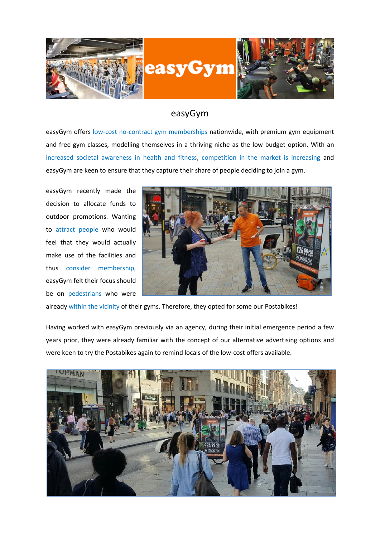

## easyGym

easyGym offers low-cost no-contract gym memberships nationwide, with premium gym equipment and free gym classes, modelling themselves in a thriving niche as the low budget option. With an increased societal awareness in health and fitness, competition in the market is increasing and easyGym are keen to ensure that they capture their share of people deciding to join a gym.

easyGym recently made the decision to allocate funds to outdoor promotions. Wanting to attract people who would feel that they would actually make use of the facilities and thus consider membership, easyGym felt their focus should be on pedestrians who were



already within the vicinity of their gyms. Therefore, they opted for some our Postabikes!

Having worked with easyGym previously via an agency, during their initial emergence period a few years prior, they were already familiar with the concept of our alternative advertising options and were keen to try the Postabikes again to remind locals of the low-cost offers available.